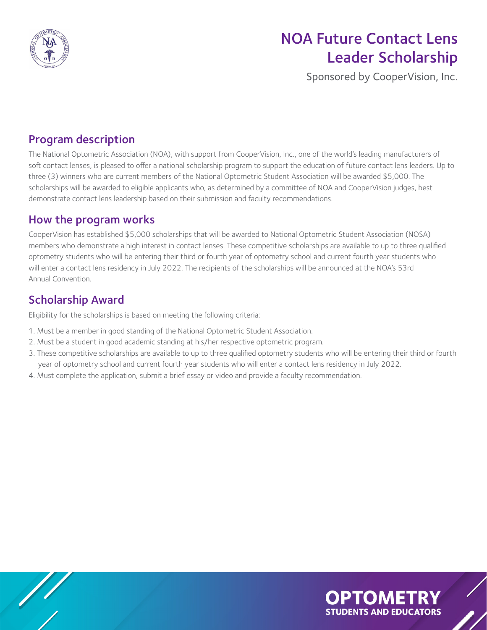

# NOA Future Contact Lens Leader Scholarship

Sponsored by CooperVision, Inc.

### Program description

The National Optometric Association (NOA), with support from CooperVision, Inc., one of the world's leading manufacturers of soft contact lenses, is pleased to offer a national scholarship program to support the education of future contact lens leaders. Up to three (3) winners who are current members of the National Optometric Student Association will be awarded \$5,000. The scholarships will be awarded to eligible applicants who, as determined by a committee of NOA and CooperVision judges, best demonstrate contact lens leadership based on their submission and faculty recommendations.

#### How the program works

CooperVision has established \$5,000 scholarships that will be awarded to National Optometric Student Association (NOSA) members who demonstrate a high interest in contact lenses. These competitive scholarships are available to up to three qualified optometry students who will be entering their third or fourth year of optometry school and current fourth year students who will enter a contact lens residency in July 2022. The recipients of the scholarships will be announced at the NOA's 53rd Annual Convention.

### Scholarship Award

Eligibility for the scholarships is based on meeting the following criteria:

- 1. Must be a member in good standing of the National Optometric Student Association.
- 2. Must be a student in good academic standing at his/her respective optometric program.
- 3. These competitive scholarships are available to up to three qualified optometry students who will be entering their third or fourth year of optometry school and current fourth year students who will enter a contact lens residency in July 2022.
- 4. Must complete the application, submit a brief essay or video and provide a faculty recommendation.